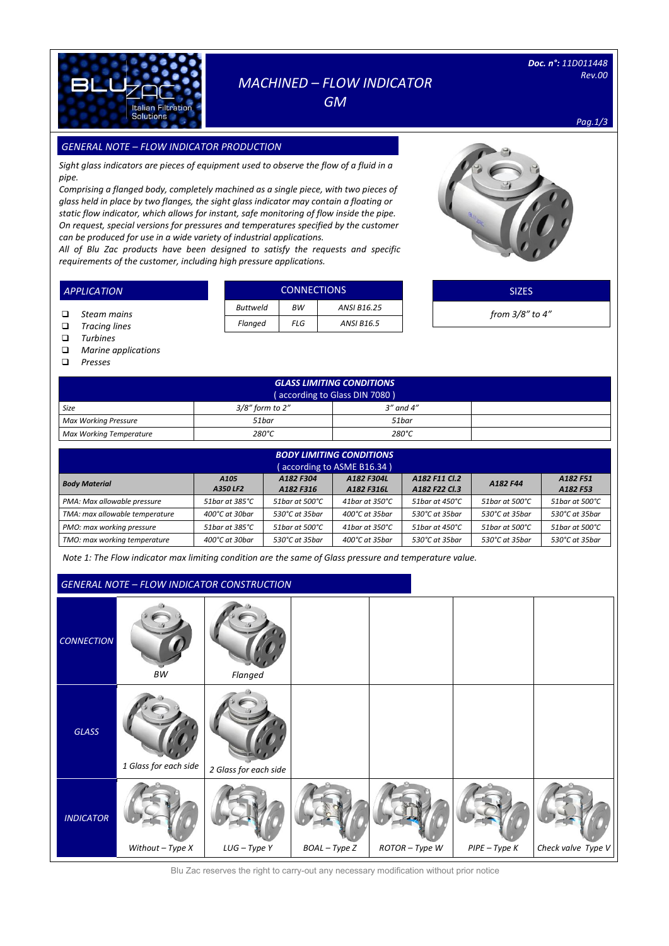

# *MACHINED – FLOW INDICATOR*

*GM* 

*Doc. n°: 11D011448 Rev.00* 

*Pag.1/3*

### *GENERAL NOTE – FLOW INDICATOR PRODUCTION SIZES*

*Sight glass indicators are pieces of equipment used to observe the flow of a fluid in a pipe.*

*Comprising a flanged body, completely machined as a single piece, with two pieces of glass held in place by two flanges, the sight glass indicator may contain a floating or static flow indicator, which allows for instant, safe monitoring of flow inside the pipe. On request, special versions for pressures and temperatures specified by the customer can be produced for use in a wide variety of industrial applications.*

*All of Blu Zac products have been designed to satisfy the requests and specific requirements of the customer, including high pressure applications.* 

|  | <b>CONNECTIONS</b> |     |                   |  |  |  |  |
|--|--------------------|-----|-------------------|--|--|--|--|
|  | <b>Buttweld</b>    | ВW  | ANSI B16.25       |  |  |  |  |
|  | Flanged            | FLG | <b>ANSI B16.5</b> |  |  |  |  |



SIZES *from 3/8" to 4"*

 *Steam mains Tracing lines*

*APPLICATION*

- 
- *Turbines Marine applications*
- *Presses*

*GLASS LIMITING CONDITIONS* ( according to Glass DIN 7080 )<br>to 2"  $\begin{array}{|c|c|} \hline 3^{\prime\prime} \text{ and } 4^{\prime\prime} \end{array}$ **Size 3/8"** form to 2" *Max Working Pressure 51bar 51bar Max Working Temperature 280°C 280°C*

| <b>BODY LIMITING CONDITIONS</b><br>(according to ASME B16.34) |                              |                            |                          |                                |                |                      |  |  |  |  |
|---------------------------------------------------------------|------------------------------|----------------------------|--------------------------|--------------------------------|----------------|----------------------|--|--|--|--|
| <b>Body Material</b>                                          | A <sub>105</sub><br>A350 LF2 | A182 F304<br>A182 F316     | A182 F304L<br>A182 F316L | A182 F11 Cl.2<br>A182 F22 Cl.3 | A182 F44       | A182 F51<br>A182 F53 |  |  |  |  |
| PMA: Max allowable pressure                                   | 51bar at 385°C               | 51bar at 500°C             | 41bar at 350°C           | 51bar at 450°C                 | 51bar at 500°C | 51bar at 500°C       |  |  |  |  |
| TMA: max allowable temperature                                | $400^{\circ}$ C at 30 har    | 530°C at 35bar             | 400°C at 35bar           | $530^{\circ}$ C at 35 bar      | 530°C at 35bar | 530°C at 35bar       |  |  |  |  |
| PMO: max working pressure                                     | 51bar at 385°C               | 51 bar at 500 $^{\circ}$ C | 41bar at 350°C           | 51 bar at $450^{\circ}$ C      | 51bar at 500°C | 51bar at 500°C       |  |  |  |  |
| TMO: max working temperature                                  | 400°C at 30bar               | 530°C at 35bar             | 400°C at 35bar           | 530°C at 35bar                 | 530℃ at 35bar  | 530°C at 35bar       |  |  |  |  |

*Note 1: The Flow indicator max limiting condition are the same of Glass pressure and temperature value.*

## *GENERAL NOTE – FLOW INDICATOR CONSTRUCTION*

|                   |                       | <u>ULIVEINE NOTE</u> TEOW INDICATOR CONSTRUCTION |               |                |                 |                    |
|-------------------|-----------------------|--------------------------------------------------|---------------|----------------|-----------------|--------------------|
| <b>CONNECTION</b> | $\cal{BW}$            | Flanged                                          |               |                |                 |                    |
| GLASS             | 1 Glass for each side | 2 Glass for each side                            |               |                |                 |                    |
| <b>INDICATOR</b>  | Without $-$ Type $X$  | $LUG - TypeY$                                    | BOAL - Type Z | ROTOR - Type W | $PIPE - Type K$ | Check valve Type V |

Blu Zac reserves the right to carry-out any necessary modification without prior notice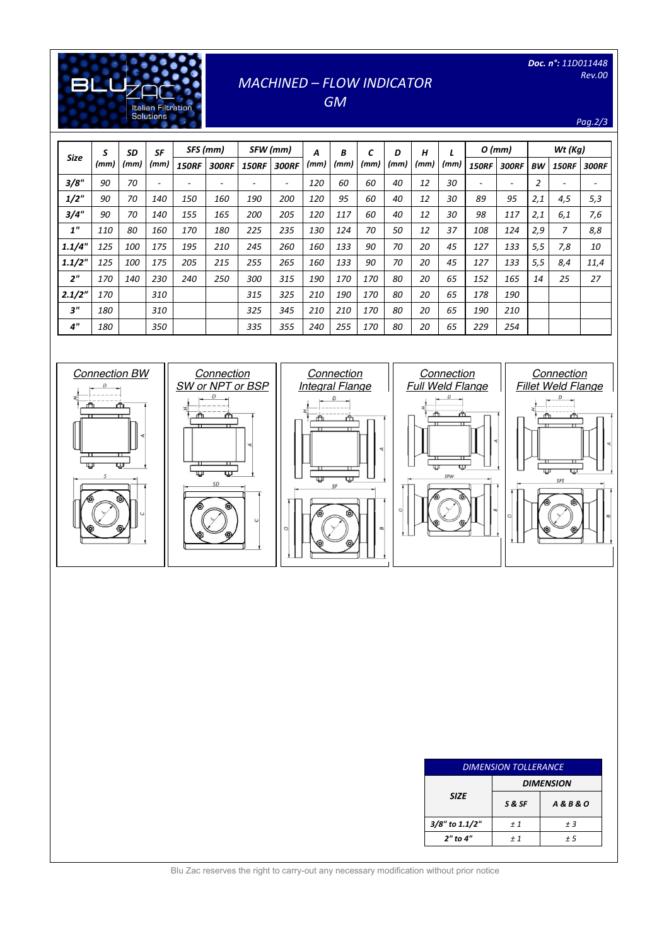### *Doc. n°: 11D011448 Rev.00*

*Pag.2/3*

## *MACHINED – FLOW INDICATOR*

[Digitare il testo]

**Literature**<br>Solutions

**BLU** 

*GM* 

| <b>Size</b>        | S    | <b>SD</b> | <b>SF</b> | SFS (mm)     |              |              | SFW (mm)     | Α    | B    | C    | D    | Н    |      | $O$ (mm)     |              |                | $Wt$ (Kg)      |              |
|--------------------|------|-----------|-----------|--------------|--------------|--------------|--------------|------|------|------|------|------|------|--------------|--------------|----------------|----------------|--------------|
|                    | (mm) | (mm)      | (mm)      | <b>150RF</b> | <b>300RF</b> | <b>150RF</b> | <b>300RF</b> | (mm) | (mm) | (mm) | (mm) | (mm) | (mm) | <b>150RF</b> | <b>300RF</b> | ВW             | <b>150RF</b>   | <b>300RF</b> |
| 3/8"               | 90   | 70        |           |              |              | ٠            |              | 120  | 60   | 60   | 40   | 12   | 30   |              |              | $\overline{2}$ | ٠              |              |
| $1/2$ "            | 90   | 70        | 140       | 150          | 160          | 190          | 200          | 120  | 95   | 60   | 40   | 12   | 30   | 89           | 95           | 2,1            | 4,5            | 5,3          |
| 3/4"               | 90   | 70        | 140       | 155          | 165          | 200          | 205          | 120  | 117  | 60   | 40   | 12   | 30   | 98           | 117          | 2,1            | 6,1            | 7,6          |
| 1 <sup>''</sup>    | 110  | 80        | 160       | 170          | 180          | 225          | 235          | 130  | 124  | 70   | 50   | 12   | 37   | 108          | 124          | 2,9            | $\overline{7}$ | 8,8          |
| 1.1/4"             | 125  | 100       | 175       | 195          | 210          | 245          | 260          | 160  | 133  | 90   | 70   | 20   | 45   | 127          | 133          | 5,5            | 7,8            | 10           |
| 1.1/2"             | 125  | 100       | 175       | 205          | 215          | 255          | 265          | 160  | 133  | 90   | 70   | 20   | 45   | 127          | 133          | 5,5            | 8,4            | 11,4         |
| 2 <sup>n</sup>     | 170  | 140       | 230       | 240          | 250          | 300          | 315          | 190  | 170  | 170  | 80   | 20   | 65   | 152          | 165          | 14             | 25             | 27           |
| 2.1/2"             | 170  |           | 310       |              |              | 315          | 325          | 210  | 190  | 170  | 80   | 20   | 65   | 178          | 190          |                |                |              |
| 3"                 | 180  |           | 310       |              |              | 325          | 345          | 210  | 210  | 170  | 80   | 20   | 65   | 190          | 210          |                |                |              |
| $4^{\prime\prime}$ | 180  |           | 350       |              |              | 335          | 355          | 240  | 255  | 170  | 80   | 20   | 65   | 229          | 254          |                |                |              |



| <b>DIMENSION TOLLERANCE</b> |                  |                      |  |  |  |  |  |  |
|-----------------------------|------------------|----------------------|--|--|--|--|--|--|
| <b>SIZE</b>                 | <b>DIMENSION</b> |                      |  |  |  |  |  |  |
|                             | S & SF           | <b>A&amp;B&amp;O</b> |  |  |  |  |  |  |
| 3/8" to 1.1/2"              | ±1               | ±3                   |  |  |  |  |  |  |
| 2" to 4"                    | ±1               | + 5                  |  |  |  |  |  |  |